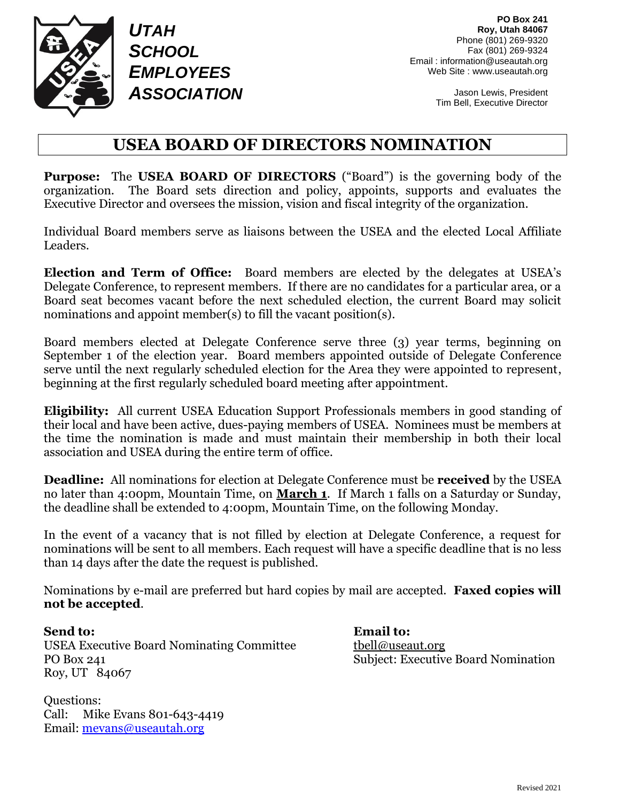

*UTAH SCHOOL EMPLOYEES ASSOCIATION*

Jason Lewis, President Tim Bell, Executive Director

# **USEA BOARD OF DIRECTORS NOMINATION**

**Purpose:** The **USEA BOARD OF DIRECTORS** ("Board") is the governing body of the organization. The Board sets direction and policy, appoints, supports and evaluates the Executive Director and oversees the mission, vision and fiscal integrity of the organization.

Individual Board members serve as liaisons between the USEA and the elected Local Affiliate Leaders.

**Election and Term of Office:** Board members are elected by the delegates at USEA's Delegate Conference, to represent members. If there are no candidates for a particular area, or a Board seat becomes vacant before the next scheduled election, the current Board may solicit nominations and appoint member(s) to fill the vacant position(s).

Board members elected at Delegate Conference serve three (3) year terms, beginning on September 1 of the election year. Board members appointed outside of Delegate Conference serve until the next regularly scheduled election for the Area they were appointed to represent, beginning at the first regularly scheduled board meeting after appointment.

**Eligibility:** All current USEA Education Support Professionals members in good standing of their local and have been active, dues-paying members of USEA. Nominees must be members at the time the nomination is made and must maintain their membership in both their local association and USEA during the entire term of office.

**Deadline:** All nominations for election at Delegate Conference must be **received** by the USEA no later than 4:00pm, Mountain Time, on **March 1**. If March 1 falls on a Saturday or Sunday, the deadline shall be extended to 4:00pm, Mountain Time, on the following Monday.

In the event of a vacancy that is not filled by election at Delegate Conference, a request for nominations will be sent to all members. Each request will have a specific deadline that is no less than 14 days after the date the request is published.

Nominations by e-mail are preferred but hard copies by mail are accepted. **Faxed copies will not be accepted**.

**Send to: Email to:** USEA Executive Board Nominating Committee the use the the theorem org PO Box 241 Subject: Executive Board Nomination Roy, UT 84067

Questions: Call: Mike Evans 801-643-4419 Email: [mevans@useautah.org](mailto:mevans@useautah.org)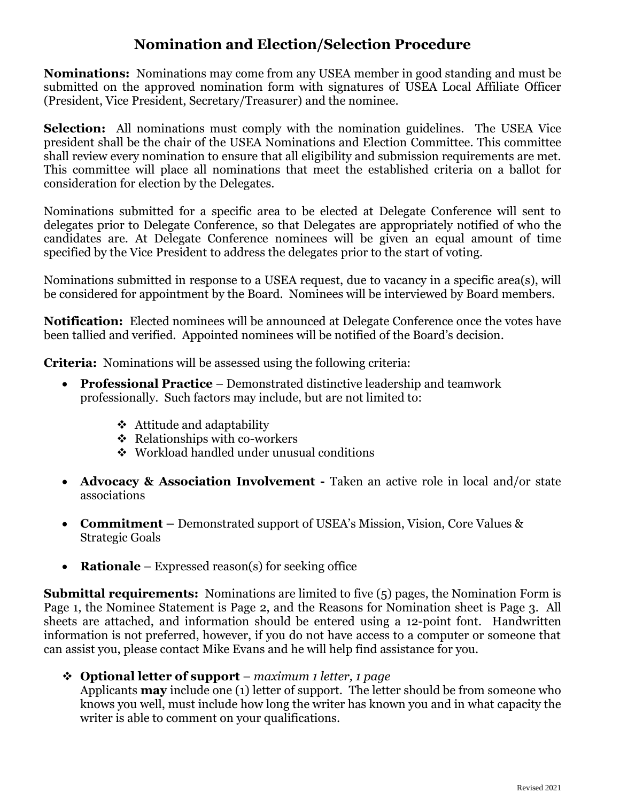## **Nomination and Election/Selection Procedure**

**Nominations:** Nominations may come from any USEA member in good standing and must be submitted on the approved nomination form with signatures of USEA Local Affiliate Officer (President, Vice President, Secretary/Treasurer) and the nominee.

**Selection:** All nominations must comply with the nomination guidelines. The USEA Vice president shall be the chair of the USEA Nominations and Election Committee. This committee shall review every nomination to ensure that all eligibility and submission requirements are met. This committee will place all nominations that meet the established criteria on a ballot for consideration for election by the Delegates.

Nominations submitted for a specific area to be elected at Delegate Conference will sent to delegates prior to Delegate Conference, so that Delegates are appropriately notified of who the candidates are. At Delegate Conference nominees will be given an equal amount of time specified by the Vice President to address the delegates prior to the start of voting.

Nominations submitted in response to a USEA request, due to vacancy in a specific area(s), will be considered for appointment by the Board. Nominees will be interviewed by Board members.

**Notification:** Elected nominees will be announced at Delegate Conference once the votes have been tallied and verified. Appointed nominees will be notified of the Board's decision.

**Criteria:** Nominations will be assessed using the following criteria:

- **Professional Practice** Demonstrated distinctive leadership and teamwork professionally. Such factors may include, but are not limited to:
	- ❖ Attitude and adaptability
	- ❖ Relationships with co-workers
	- ❖ Workload handled under unusual conditions
- **Advocacy & Association Involvement -** Taken an active role in local and/or state associations
- **Commitment –** Demonstrated support of USEA's Mission, Vision, Core Values & Strategic Goals
- **Rationale** Expressed reason(s) for seeking office

**Submittal requirements:** Nominations are limited to five (5) pages, the Nomination Form is Page 1, the Nominee Statement is Page 2, and the Reasons for Nomination sheet is Page 3. All sheets are attached, and information should be entered using a 12-point font. Handwritten information is not preferred, however, if you do not have access to a computer or someone that can assist you, please contact Mike Evans and he will help find assistance for you.

❖ **Optional letter of support** – *maximum 1 letter, 1 page*

Applicants **may** include one (1) letter of support. The letter should be from someone who knows you well, must include how long the writer has known you and in what capacity the writer is able to comment on your qualifications.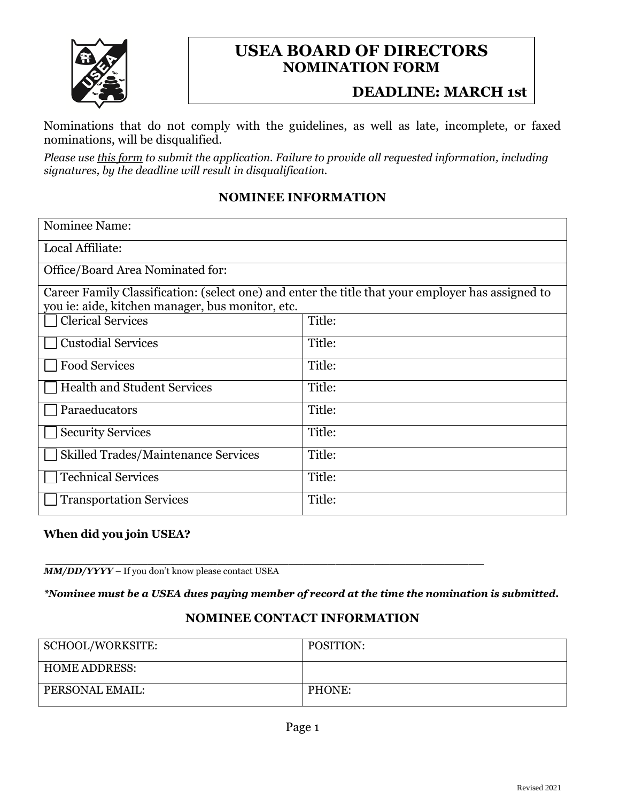

## **USEA BOARD OF DIRECTORS NOMINATION FORM**

## **DEADLINE: MARCH 1st**

Nominations that do not comply with the guidelines, as well as late, incomplete, or faxed nominations, will be disqualified.

*Please use this form to submit the application. Failure to provide all requested information, including signatures, by the deadline will result in disqualification.*

#### **NOMINEE INFORMATION**

| Nominee Name:                                                                                                                                         |        |
|-------------------------------------------------------------------------------------------------------------------------------------------------------|--------|
| Local Affiliate:                                                                                                                                      |        |
| Office/Board Area Nominated for:                                                                                                                      |        |
| Career Family Classification: (select one) and enter the title that your employer has assigned to<br>you ie: aide, kitchen manager, bus monitor, etc. |        |
| <b>Clerical Services</b>                                                                                                                              | Title: |
| <b>Custodial Services</b>                                                                                                                             | Title: |
| <b>Food Services</b>                                                                                                                                  | Title: |
| <b>Health and Student Services</b>                                                                                                                    | Title: |
| Paraeducators                                                                                                                                         | Title: |
| <b>Security Services</b>                                                                                                                              | Title: |
| <b>Skilled Trades/Maintenance Services</b>                                                                                                            | Title: |
| <b>Technical Services</b>                                                                                                                             | Title: |
| <b>Transportation Services</b>                                                                                                                        | Title: |

#### **When did you join USEA?**

*\_\_\_\_\_\_\_\_\_\_\_\_\_\_\_\_\_\_\_\_\_\_\_\_\_\_\_\_\_\_\_\_\_\_\_\_\_\_\_\_\_\_\_\_\_\_\_\_\_\_\_\_\_\_\_\_ MM/DD/YYYY* – If you don't know please contact USEA

*\*Nominee must be a USEA dues paying member of record at the time the nomination is submitted.*

#### **NOMINEE CONTACT INFORMATION**

| SCHOOL/WORKSITE:     | POSITION: |
|----------------------|-----------|
| <b>HOME ADDRESS:</b> |           |
| PERSONAL EMAIL:      | PHONE:    |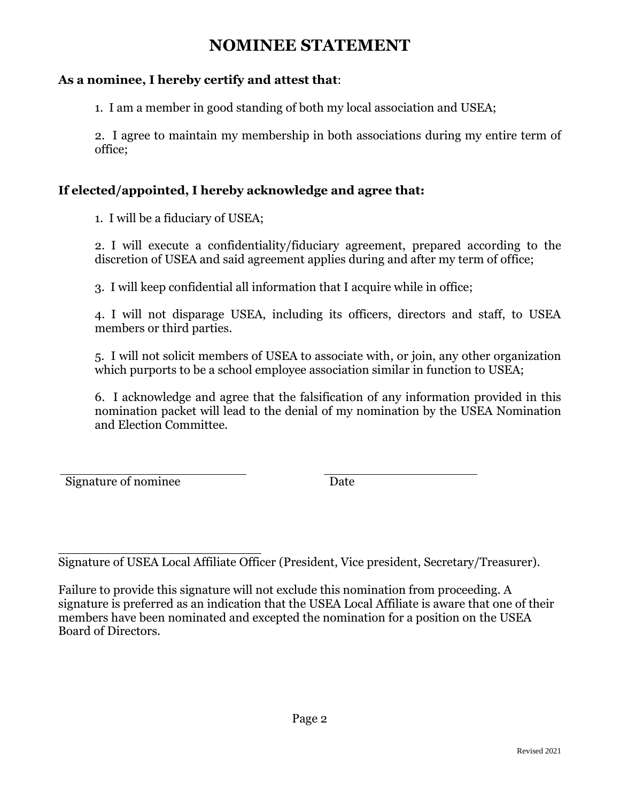# **NOMINEE STATEMENT**

### **As a nominee, I hereby certify and attest that**:

1. I am a member in good standing of both my local association and USEA;

2. I agree to maintain my membership in both associations during my entire term of office;

### **If elected/appointed, I hereby acknowledge and agree that:**

1. I will be a fiduciary of USEA;

2. I will execute a confidentiality/fiduciary agreement, prepared according to the discretion of USEA and said agreement applies during and after my term of office;

3. I will keep confidential all information that I acquire while in office;

4. I will not disparage USEA, including its officers, directors and staff, to USEA members or third parties.

5. I will not solicit members of USEA to associate with, or join, any other organization which purports to be a school employee association similar in function to USEA;

6. I acknowledge and agree that the falsification of any information provided in this nomination packet will lead to the denial of my nomination by the USEA Nomination and Election Committee.

Signature of nominee Date

\_\_\_\_\_\_\_\_\_\_\_\_\_\_\_\_\_\_\_\_\_\_\_\_\_\_ Signature of USEA Local Affiliate Officer (President, Vice president, Secretary/Treasurer).

Failure to provide this signature will not exclude this nomination from proceeding. A signature is preferred as an indication that the USEA Local Affiliate is aware that one of their members have been nominated and excepted the nomination for a position on the USEA Board of Directors.